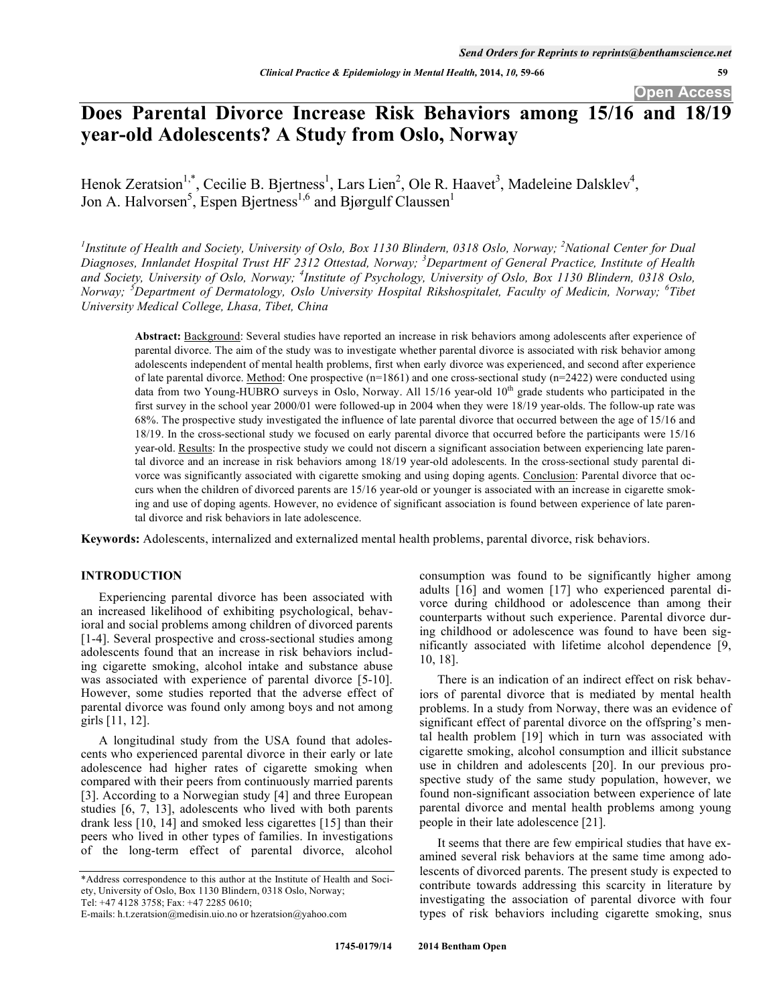**Open Access** 

# **Does Parental Divorce Increase Risk Behaviors among 15/16 and 18/19 year-old Adolescents? A Study from Oslo, Norway**

Henok Zeratsion<sup>1,\*</sup>, Cecilie B. Bjertness<sup>1</sup>, Lars Lien<sup>2</sup>, Ole R. Haavet<sup>3</sup>, Madeleine Dalsklev<sup>4</sup>, Jon A. Halvorsen<sup>5</sup>, Espen Bjertness<sup>1,6</sup> and Bjørgulf Claussen<sup>1</sup>

<sup>1</sup>Institute of Health and Society, University of Oslo, Box 1130 Blindern, 0318 Oslo, Norway; <sup>2</sup>National Center for Dual *Diagnoses, Innlandet Hospital Trust HF 2312 Ottestad, Norway; <sup>3</sup> Department of General Practice, Institute of Health and Society, University of Oslo, Norway; <sup>4</sup> Institute of Psychology, University of Oslo, Box 1130 Blindern, 0318 Oslo, Norway; <sup>5</sup> Department of Dermatology, Oslo University Hospital Rikshospitalet, Faculty of Medicin, Norway; <sup>6</sup> Tibet University Medical College, Lhasa, Tibet, China* 

**Abstract:** Background: Several studies have reported an increase in risk behaviors among adolescents after experience of parental divorce. The aim of the study was to investigate whether parental divorce is associated with risk behavior among adolescents independent of mental health problems, first when early divorce was experienced, and second after experience of late parental divorce. <u>Method</u>: One prospective  $(n=1861)$  and one cross-sectional study  $(n=2422)$  were conducted using data from two Young-HUBRO surveys in Oslo, Norway. All  $15/16$  year-old  $10<sup>th</sup>$  grade students who participated in the first survey in the school year 2000/01 were followed-up in 2004 when they were 18/19 year-olds. The follow-up rate was 68%. The prospective study investigated the influence of late parental divorce that occurred between the age of 15/16 and 18/19. In the cross-sectional study we focused on early parental divorce that occurred before the participants were 15/16 year-old. Results: In the prospective study we could not discern a significant association between experiencing late parental divorce and an increase in risk behaviors among 18/19 year-old adolescents. In the cross-sectional study parental divorce was significantly associated with cigarette smoking and using doping agents. Conclusion: Parental divorce that occurs when the children of divorced parents are 15/16 year-old or younger is associated with an increase in cigarette smoking and use of doping agents. However, no evidence of significant association is found between experience of late parental divorce and risk behaviors in late adolescence.

**Keywords:** Adolescents, internalized and externalized mental health problems, parental divorce, risk behaviors.

# **INTRODUCTION**

Experiencing parental divorce has been associated with an increased likelihood of exhibiting psychological, behavioral and social problems among children of divorced parents [1-4]. Several prospective and cross-sectional studies among adolescents found that an increase in risk behaviors including cigarette smoking, alcohol intake and substance abuse was associated with experience of parental divorce [5-10]. However, some studies reported that the adverse effect of parental divorce was found only among boys and not among girls [11, 12].

A longitudinal study from the USA found that adolescents who experienced parental divorce in their early or late adolescence had higher rates of cigarette smoking when compared with their peers from continuously married parents [3]. According to a Norwegian study [4] and three European studies [6, 7, 13], adolescents who lived with both parents drank less [10, 14] and smoked less cigarettes [15] than their peers who lived in other types of families. In investigations of the long-term effect of parental divorce, alcohol consumption was found to be significantly higher among adults [16] and women [17] who experienced parental divorce during childhood or adolescence than among their counterparts without such experience. Parental divorce during childhood or adolescence was found to have been significantly associated with lifetime alcohol dependence [9, 10, 18].

There is an indication of an indirect effect on risk behaviors of parental divorce that is mediated by mental health problems. In a study from Norway, there was an evidence of significant effect of parental divorce on the offspring's mental health problem [19] which in turn was associated with cigarette smoking, alcohol consumption and illicit substance use in children and adolescents [20]. In our previous prospective study of the same study population, however, we found non-significant association between experience of late parental divorce and mental health problems among young people in their late adolescence [21].

It seems that there are few empirical studies that have examined several risk behaviors at the same time among adolescents of divorced parents. The present study is expected to contribute towards addressing this scarcity in literature by investigating the association of parental divorce with four types of risk behaviors including cigarette smoking, snus

 **1745-0179/14 2014 Bentham Open**

<sup>\*</sup>Address correspondence to this author at the Institute of Health and Society, University of Oslo, Box 1130 Blindern, 0318 Oslo, Norway; Tel: +47 4128 3758; Fax: +47 2285 0610;

E-mails: h.t.zeratsion@medisin.uio.no or hzeratsion@yahoo.com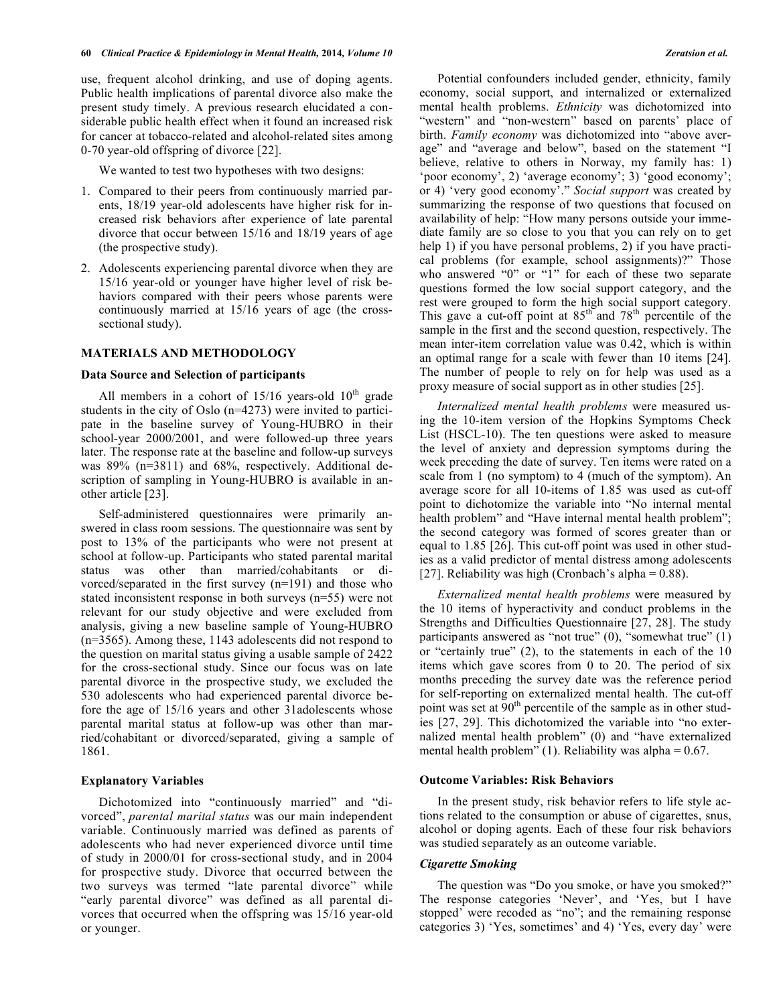use, frequent alcohol drinking, and use of doping agents. Public health implications of parental divorce also make the present study timely. A previous research elucidated a considerable public health effect when it found an increased risk for cancer at tobacco-related and alcohol-related sites among 0-70 year-old offspring of divorce [22].

We wanted to test two hypotheses with two designs:

- 1. Compared to their peers from continuously married parents, 18/19 year-old adolescents have higher risk for increased risk behaviors after experience of late parental divorce that occur between 15/16 and 18/19 years of age (the prospective study).
- 2. Adolescents experiencing parental divorce when they are 15/16 year-old or younger have higher level of risk behaviors compared with their peers whose parents were continuously married at 15/16 years of age (the crosssectional study).

# **MATERIALS AND METHODOLOGY**

#### **Data Source and Selection of participants**

All members in a cohort of  $15/16$  years-old  $10<sup>th</sup>$  grade students in the city of Oslo (n=4273) were invited to participate in the baseline survey of Young-HUBRO in their school-year 2000/2001, and were followed-up three years later. The response rate at the baseline and follow-up surveys was 89% (n=3811) and 68%, respectively. Additional description of sampling in Young-HUBRO is available in another article [23].

Self-administered questionnaires were primarily answered in class room sessions. The questionnaire was sent by post to 13% of the participants who were not present at school at follow-up. Participants who stated parental marital status was other than married/cohabitants or divorced/separated in the first survey (n=191) and those who stated inconsistent response in both surveys (n=55) were not relevant for our study objective and were excluded from analysis, giving a new baseline sample of Young-HUBRO (n=3565). Among these, 1143 adolescents did not respond to the question on marital status giving a usable sample of 2422 for the cross-sectional study. Since our focus was on late parental divorce in the prospective study, we excluded the 530 adolescents who had experienced parental divorce before the age of 15/16 years and other 31adolescents whose parental marital status at follow-up was other than married/cohabitant or divorced/separated, giving a sample of 1861.

# **Explanatory Variables**

Dichotomized into "continuously married" and "divorced", *parental marital status* was our main independent variable. Continuously married was defined as parents of adolescents who had never experienced divorce until time of study in 2000/01 for cross-sectional study, and in 2004 for prospective study. Divorce that occurred between the two surveys was termed "late parental divorce" while "early parental divorce" was defined as all parental divorces that occurred when the offspring was 15/16 year-old or younger.

Potential confounders included gender, ethnicity, family economy, social support, and internalized or externalized mental health problems. *Ethnicity* was dichotomized into "western" and "non-western" based on parents' place of birth. *Family economy* was dichotomized into "above average" and "average and below", based on the statement "I believe, relative to others in Norway, my family has: 1) 'poor economy', 2) 'average economy'; 3) 'good economy'; or 4) 'very good economy'." *Social support* was created by summarizing the response of two questions that focused on availability of help: "How many persons outside your immediate family are so close to you that you can rely on to get help 1) if you have personal problems, 2) if you have practical problems (for example, school assignments)?" Those who answered "0" or "1" for each of these two separate questions formed the low social support category, and the rest were grouped to form the high social support category. This gave a cut-off point at  $85<sup>th</sup>$  and  $78<sup>th</sup>$  percentile of the sample in the first and the second question, respectively. The mean inter-item correlation value was 0.42, which is within an optimal range for a scale with fewer than 10 items [24]. The number of people to rely on for help was used as a proxy measure of social support as in other studies [25].

*Internalized mental health problems* were measured using the 10-item version of the Hopkins Symptoms Check List (HSCL-10). The ten questions were asked to measure the level of anxiety and depression symptoms during the week preceding the date of survey. Ten items were rated on a scale from 1 (no symptom) to 4 (much of the symptom). An average score for all 10-items of 1.85 was used as cut-off point to dichotomize the variable into "No internal mental health problem" and "Have internal mental health problem"; the second category was formed of scores greater than or equal to 1.85 [26]. This cut-off point was used in other studies as a valid predictor of mental distress among adolescents [27]. Reliability was high (Cronbach's alpha =  $0.88$ ).

*Externalized mental health problems* were measured by the 10 items of hyperactivity and conduct problems in the Strengths and Difficulties Questionnaire [27, 28]. The study participants answered as "not true" (0), "somewhat true" (1) or "certainly true" (2), to the statements in each of the 10 items which gave scores from 0 to 20. The period of six months preceding the survey date was the reference period for self-reporting on externalized mental health. The cut-off point was set at  $90<sup>th</sup>$  percentile of the sample as in other studies [27, 29]. This dichotomized the variable into "no externalized mental health problem" (0) and "have externalized mental health problem" (1). Reliability was alpha =  $0.67$ .

#### **Outcome Variables: Risk Behaviors**

In the present study, risk behavior refers to life style actions related to the consumption or abuse of cigarettes, snus, alcohol or doping agents. Each of these four risk behaviors was studied separately as an outcome variable.

#### *Cigarette Smoking*

The question was "Do you smoke, or have you smoked?" The response categories 'Never', and 'Yes, but I have stopped' were recoded as "no"; and the remaining response categories 3) 'Yes, sometimes' and 4) 'Yes, every day' were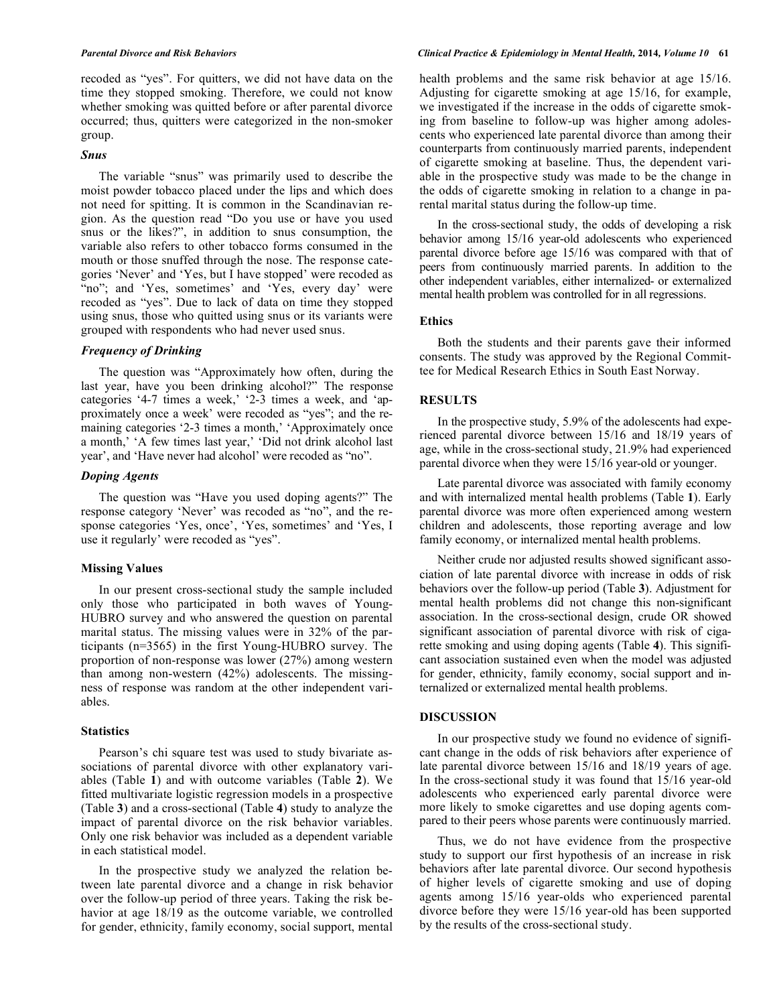recoded as "yes". For quitters, we did not have data on the time they stopped smoking. Therefore, we could not know whether smoking was quitted before or after parental divorce occurred; thus, quitters were categorized in the non-smoker group.

# *Snus*

The variable "snus" was primarily used to describe the moist powder tobacco placed under the lips and which does not need for spitting. It is common in the Scandinavian region. As the question read "Do you use or have you used snus or the likes?", in addition to snus consumption, the variable also refers to other tobacco forms consumed in the mouth or those snuffed through the nose. The response categories 'Never' and 'Yes, but I have stopped' were recoded as "no"; and 'Yes, sometimes' and 'Yes, every day' were recoded as "yes". Due to lack of data on time they stopped using snus, those who quitted using snus or its variants were grouped with respondents who had never used snus.

# *Frequency of Drinking*

The question was "Approximately how often, during the last year, have you been drinking alcohol?" The response categories '4-7 times a week,' '2-3 times a week, and 'approximately once a week' were recoded as "yes"; and the remaining categories '2-3 times a month,' 'Approximately once a month,' 'A few times last year,' 'Did not drink alcohol last year', and 'Have never had alcohol' were recoded as "no".

# *Doping Agents*

The question was "Have you used doping agents?" The response category 'Never' was recoded as "no", and the response categories 'Yes, once', 'Yes, sometimes' and 'Yes, I use it regularly' were recoded as "yes".

#### **Missing Values**

In our present cross-sectional study the sample included only those who participated in both waves of Young-HUBRO survey and who answered the question on parental marital status. The missing values were in 32% of the participants (n=3565) in the first Young-HUBRO survey. The proportion of non-response was lower (27%) among western than among non-western (42%) adolescents. The missingness of response was random at the other independent variables.

#### **Statistics**

Pearson's chi square test was used to study bivariate associations of parental divorce with other explanatory variables (Table **1**) and with outcome variables (Table **2**). We fitted multivariate logistic regression models in a prospective (Table **3**) and a cross-sectional (Table **4**) study to analyze the impact of parental divorce on the risk behavior variables. Only one risk behavior was included as a dependent variable in each statistical model.

In the prospective study we analyzed the relation between late parental divorce and a change in risk behavior over the follow-up period of three years. Taking the risk behavior at age 18/19 as the outcome variable, we controlled for gender, ethnicity, family economy, social support, mental

#### *Parental Divorce and Risk Behaviors Clinical Practice & Epidemiology in Mental Health,* **2014***, Volume 10* **61**

health problems and the same risk behavior at age 15/16. Adjusting for cigarette smoking at age 15/16, for example, we investigated if the increase in the odds of cigarette smoking from baseline to follow-up was higher among adolescents who experienced late parental divorce than among their counterparts from continuously married parents, independent of cigarette smoking at baseline. Thus, the dependent variable in the prospective study was made to be the change in the odds of cigarette smoking in relation to a change in parental marital status during the follow-up time.

In the cross-sectional study, the odds of developing a risk behavior among 15/16 year-old adolescents who experienced parental divorce before age 15/16 was compared with that of peers from continuously married parents. In addition to the other independent variables, either internalized- or externalized mental health problem was controlled for in all regressions.

# **Ethics**

Both the students and their parents gave their informed consents. The study was approved by the Regional Committee for Medical Research Ethics in South East Norway.

### **RESULTS**

In the prospective study, 5.9% of the adolescents had experienced parental divorce between 15/16 and 18/19 years of age, while in the cross-sectional study, 21.9% had experienced parental divorce when they were 15/16 year-old or younger.

Late parental divorce was associated with family economy and with internalized mental health problems (Table **1**). Early parental divorce was more often experienced among western children and adolescents, those reporting average and low family economy, or internalized mental health problems.

Neither crude nor adjusted results showed significant association of late parental divorce with increase in odds of risk behaviors over the follow-up period (Table **3**). Adjustment for mental health problems did not change this non-significant association. In the cross-sectional design, crude OR showed significant association of parental divorce with risk of cigarette smoking and using doping agents (Table **4**). This significant association sustained even when the model was adjusted for gender, ethnicity, family economy, social support and internalized or externalized mental health problems.

#### **DISCUSSION**

In our prospective study we found no evidence of significant change in the odds of risk behaviors after experience of late parental divorce between 15/16 and 18/19 years of age. In the cross-sectional study it was found that 15/16 year-old adolescents who experienced early parental divorce were more likely to smoke cigarettes and use doping agents compared to their peers whose parents were continuously married.

Thus, we do not have evidence from the prospective study to support our first hypothesis of an increase in risk behaviors after late parental divorce. Our second hypothesis of higher levels of cigarette smoking and use of doping agents among 15/16 year-olds who experienced parental divorce before they were 15/16 year-old has been supported by the results of the cross-sectional study.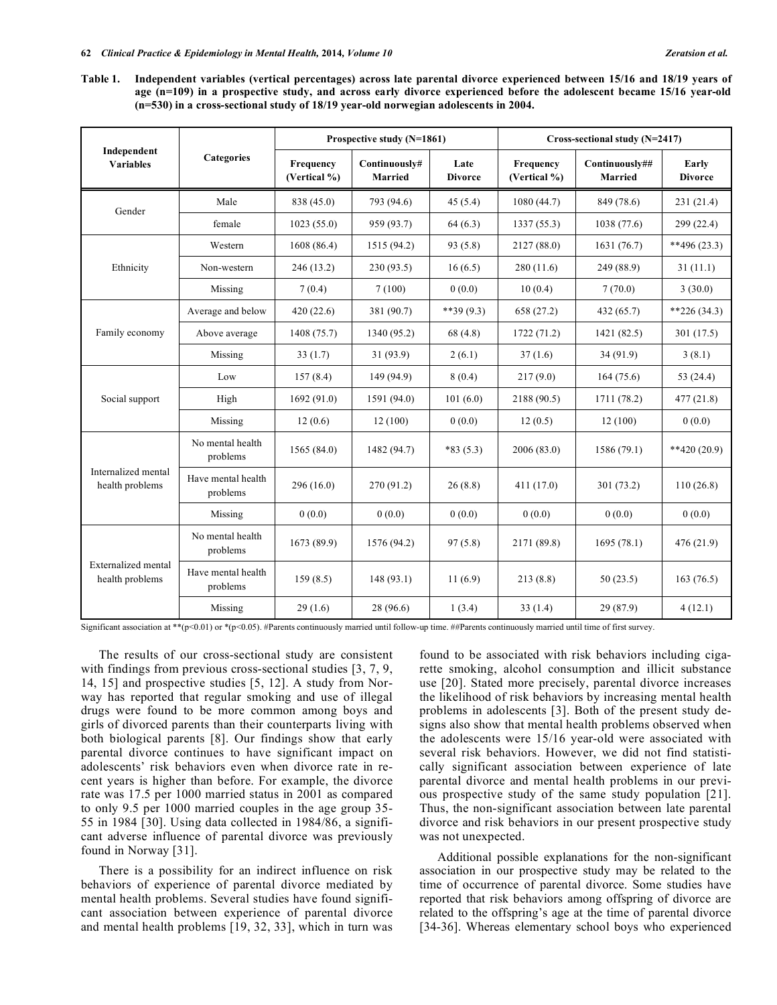**Table 1. Independent variables (vertical percentages) across late parental divorce experienced between 15/16 and 18/19 years of age (n=109) in a prospective study, and across early divorce experienced before the adolescent became 15/16 year-old (n=530) in a cross-sectional study of 18/19 year-old norwegian adolescents in 2004.** 

|                                               |                                | Prospective study (N=1861) |                          |                        | Cross-sectional study (N=2417) |                                  |                         |
|-----------------------------------------------|--------------------------------|----------------------------|--------------------------|------------------------|--------------------------------|----------------------------------|-------------------------|
| Independent<br><b>Variables</b>               | <b>Categories</b>              | Frequency<br>(Vertical %)  | Continuously#<br>Married | Late<br><b>Divorce</b> | Frequency<br>(Vertical %)      | Continuously##<br><b>Married</b> | Early<br><b>Divorce</b> |
| Gender                                        | Male                           | 838 (45.0)                 | 793 (94.6)               | 45(5.4)                | 1080(44.7)                     | 849 (78.6)                       | 231(21.4)               |
|                                               | female                         | 1023(55.0)                 | 959 (93.7)               | 64(6.3)                | 1337(55.3)                     | 1038(77.6)                       | 299(22.4)               |
| Ethnicity                                     | Western                        | 1608(86.4)                 | 1515 (94.2)              | 93(5.8)                | 2127 (88.0)                    | 1631(76.7)                       | $**496(23.3)$           |
|                                               | Non-western                    | 246(13.2)                  | 230(93.5)                | 16(6.5)                | 280(11.6)                      | 249 (88.9)                       | 31(11.1)                |
|                                               | Missing                        | 7(0.4)                     | 7(100)                   | 0(0.0)                 | 10(0.4)                        | 7(70.0)                          | 3(30.0)                 |
| Family economy                                | Average and below              | 420(22.6)                  | 381 (90.7)               | $**39(9.3)$            | 658 (27.2)                     | 432 (65.7)                       | $*226(34.3)$            |
|                                               | Above average                  | 1408 (75.7)                | 1340 (95.2)              | 68(4.8)                | 1722(71.2)                     | 1421 (82.5)                      | 301(17.5)               |
|                                               | Missing                        | 33(1.7)                    | 31(93.9)                 | 2(6.1)                 | 37(1.6)                        | 34(91.9)                         | 3(8.1)                  |
|                                               | Low                            | 157(8.4)                   | 149 (94.9)               | 8(0.4)                 | 217(9.0)                       | 164(75.6)                        | 53 (24.4)               |
| Social support                                | High                           | 1692(91.0)                 | 1591 (94.0)              | 101(6.0)               | 2188 (90.5)                    | 1711 (78.2)                      | 477(21.8)               |
|                                               | Missing                        | 12(0.6)                    | 12(100)                  | 0(0.0)                 | 12(0.5)                        | 12(100)                          | 0(0.0)                  |
| Internalized mental<br>health problems        | No mental health<br>problems   | 1565(84.0)                 | 1482 (94.7)              | $*83(5.3)$             | 2006 (83.0)                    | 1586(79.1)                       | $**420(20.9)$           |
|                                               | Have mental health<br>problems | 296(16.0)                  | 270(91.2)                | 26(8.8)                | 411 (17.0)                     | 301(73.2)                        | 110(26.8)               |
|                                               | Missing                        | 0(0.0)                     | 0(0.0)                   | 0(0.0)                 | 0(0.0)                         | 0(0.0)                           | 0(0.0)                  |
| <b>Externalized</b> mental<br>health problems | No mental health<br>problems   | 1673 (89.9)                | 1576 (94.2)              | 97(5.8)                | 2171 (89.8)                    | 1695(78.1)                       | 476(21.9)               |
|                                               | Have mental health<br>problems | 159(8.5)                   | 148(93.1)                | 11(6.9)                | 213(8.8)                       | 50(23.5)                         | 163(76.5)               |
|                                               | Missing                        | 29(1.6)                    | 28 (96.6)                | 1(3.4)                 | 33(1.4)                        | 29 (87.9)                        | 4(12.1)                 |

Significant association at \*\*(p<0.01) or \*(p<0.05). #Parents continuously married until follow-up time. ##Parents continuously married until time of first survey.

The results of our cross-sectional study are consistent with findings from previous cross-sectional studies [3, 7, 9, 14, 15] and prospective studies [5, 12]. A study from Norway has reported that regular smoking and use of illegal drugs were found to be more common among boys and girls of divorced parents than their counterparts living with both biological parents [8]. Our findings show that early parental divorce continues to have significant impact on adolescents' risk behaviors even when divorce rate in recent years is higher than before. For example, the divorce rate was 17.5 per 1000 married status in 2001 as compared to only 9.5 per 1000 married couples in the age group 35- 55 in 1984 [30]. Using data collected in 1984/86, a significant adverse influence of parental divorce was previously found in Norway [31].

There is a possibility for an indirect influence on risk behaviors of experience of parental divorce mediated by mental health problems. Several studies have found significant association between experience of parental divorce and mental health problems [19, 32, 33], which in turn was found to be associated with risk behaviors including cigarette smoking, alcohol consumption and illicit substance use [20]. Stated more precisely, parental divorce increases the likelihood of risk behaviors by increasing mental health problems in adolescents [3]. Both of the present study designs also show that mental health problems observed when the adolescents were 15/16 year-old were associated with several risk behaviors. However, we did not find statistically significant association between experience of late parental divorce and mental health problems in our previous prospective study of the same study population [21]. Thus, the non-significant association between late parental divorce and risk behaviors in our present prospective study was not unexpected.

Additional possible explanations for the non-significant association in our prospective study may be related to the time of occurrence of parental divorce. Some studies have reported that risk behaviors among offspring of divorce are related to the offspring's age at the time of parental divorce [34-36]. Whereas elementary school boys who experienced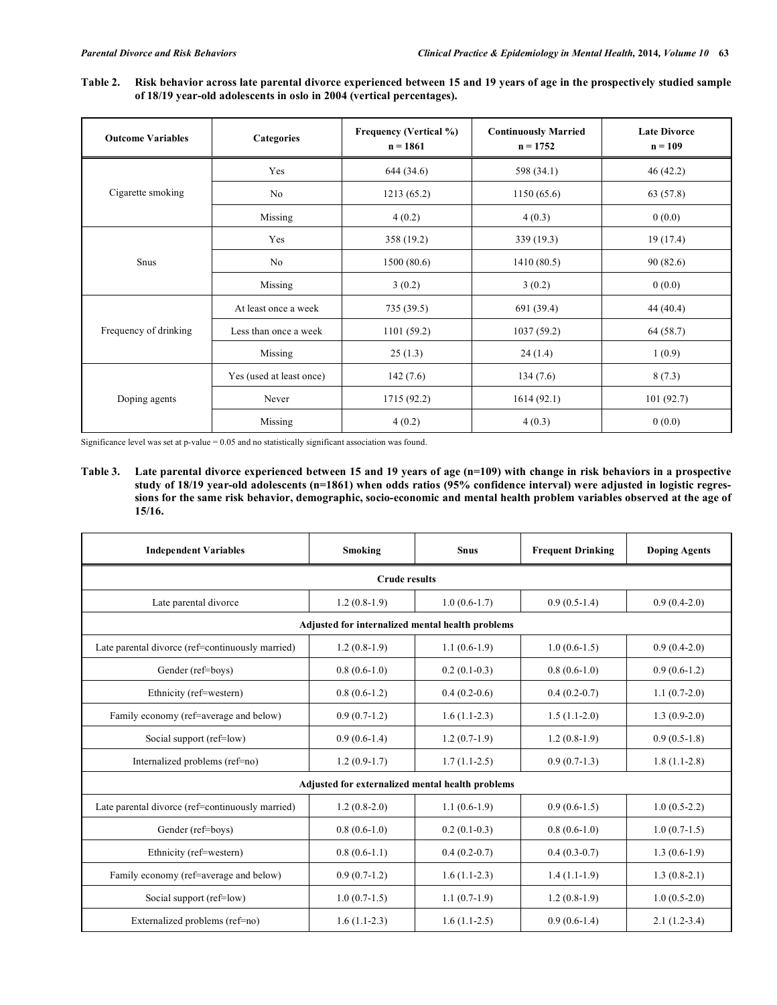**Table 2. Risk behavior across late parental divorce experienced between 15 and 19 years of age in the prospectively studied sample of 18/19 year-old adolescents in oslo in 2004 (vertical percentages).** 

| <b>Outcome Variables</b> | Categories               | <b>Frequency (Vertical %)</b><br>$n = 1861$ | <b>Continuously Married</b><br>$n = 1752$ | <b>Late Divorce</b><br>$n = 109$ |  |
|--------------------------|--------------------------|---------------------------------------------|-------------------------------------------|----------------------------------|--|
|                          | Yes                      | 644 (34.6)                                  | 598 (34.1)                                | 46(42.2)                         |  |
| Cigarette smoking        | No                       | 1213(65.2)                                  | 1150(65.6)                                | 63 (57.8)                        |  |
|                          | Missing                  | 4(0.2)                                      | 4(0.3)                                    | 0(0.0)                           |  |
|                          | Yes                      | 358 (19.2)                                  | 339 (19.3)                                | 19(17.4)                         |  |
| Snus                     | No                       | 1500(80.6)<br>1410(80.5)                    |                                           | 90(82.6)                         |  |
|                          | Missing                  | 3(0.2)<br>3(0.2)                            |                                           | 0(0.0)                           |  |
|                          | At least once a week     | 735 (39.5)                                  | 691 (39.4)                                | 44(40.4)                         |  |
| Frequency of drinking    | Less than once a week    | 1101(59.2)                                  | 1037(59.2)                                |                                  |  |
|                          | Missing                  | 25(1.3)                                     | 24(1.4)                                   | 1(0.9)                           |  |
|                          | Yes (used at least once) | 142(7.6)                                    | 134(7.6)                                  | 8(7.3)                           |  |
| Doping agents            | Never                    | 1715 (92.2)                                 | 1614(92.1)                                | 101(92.7)                        |  |
|                          | Missing                  | 4(0.2)                                      | 4(0.3)                                    | 0(0.0)                           |  |

Significance level was set at p-value = 0.05 and no statistically significant association was found.

**Table 3. Late parental divorce experienced between 15 and 19 years of age (n=109) with change in risk behaviors in a prospective study of 18/19 year-old adolescents (n=1861) when odds ratios (95% confidence interval) were adjusted in logistic regressions for the same risk behavior, demographic, socio-economic and mental health problem variables observed at the age of 15/16.** 

| <b>Independent Variables</b>                     | Smoking        | <b>Snus</b>    | <b>Frequent Drinking</b> | <b>Doping Agents</b> |  |  |  |
|--------------------------------------------------|----------------|----------------|--------------------------|----------------------|--|--|--|
| <b>Crude results</b>                             |                |                |                          |                      |  |  |  |
| Late parental divorce                            | $1.2(0.8-1.9)$ | $1.0(0.6-1.7)$ | $0.9(0.5-1.4)$           | $0.9(0.4-2.0)$       |  |  |  |
| Adjusted for internalized mental health problems |                |                |                          |                      |  |  |  |
| Late parental divorce (ref=continuously married) | $1.2(0.8-1.9)$ | $1.1(0.6-1.9)$ | $1.0(0.6-1.5)$           | $0.9(0.4-2.0)$       |  |  |  |
| Gender (ref=boys)                                | $0.8(0.6-1.0)$ | $0.2(0.1-0.3)$ | $0.8(0.6-1.0)$           | $0.9(0.6-1.2)$       |  |  |  |
| Ethnicity (ref=western)                          | $0.8(0.6-1.2)$ | $0.4(0.2-0.6)$ | $0.4(0.2-0.7)$           | $1.1(0.7-2.0)$       |  |  |  |
| Family economy (ref=average and below)           | $0.9(0.7-1.2)$ | $1.6(1.1-2.3)$ | $1.5(1.1-2.0)$           | $1.3(0.9-2.0)$       |  |  |  |
| Social support (ref=low)                         | $0.9(0.6-1.4)$ | $1.2(0.7-1.9)$ | $1.2(0.8-1.9)$           | $0.9(0.5-1.8)$       |  |  |  |
| Internalized problems (ref=no)                   | $1.2(0.9-1.7)$ | $1.7(1.1-2.5)$ | $0.9(0.7-1.3)$           | $1.8(1.1-2.8)$       |  |  |  |
| Adjusted for externalized mental health problems |                |                |                          |                      |  |  |  |
| Late parental divorce (ref=continuously married) | $1.2(0.8-2.0)$ | $1.1(0.6-1.9)$ | $0.9(0.6-1.5)$           | $1.0(0.5-2.2)$       |  |  |  |
| Gender (ref=boys)                                | $0.8(0.6-1.0)$ | $0.2(0.1-0.3)$ | $0.8(0.6-1.0)$           | $1.0(0.7-1.5)$       |  |  |  |
| Ethnicity (ref=western)                          | $0.8(0.6-1.1)$ | $0.4(0.2-0.7)$ | $0.4(0.3-0.7)$           | $1.3(0.6-1.9)$       |  |  |  |
| Family economy (ref=average and below)           | $0.9(0.7-1.2)$ | $1.6(1.1-2.3)$ | $1.4(1.1-1.9)$           | $1.3(0.8-2.1)$       |  |  |  |
| Social support (ref=low)                         | $1.0(0.7-1.5)$ | $1.1(0.7-1.9)$ | $1.2(0.8-1.9)$           | $1.0(0.5-2.0)$       |  |  |  |
| Externalized problems (ref=no)                   | $1.6(1.1-2.3)$ | $1.6(1.1-2.5)$ | $0.9(0.6-1.4)$           | $2.1(1.2-3.4)$       |  |  |  |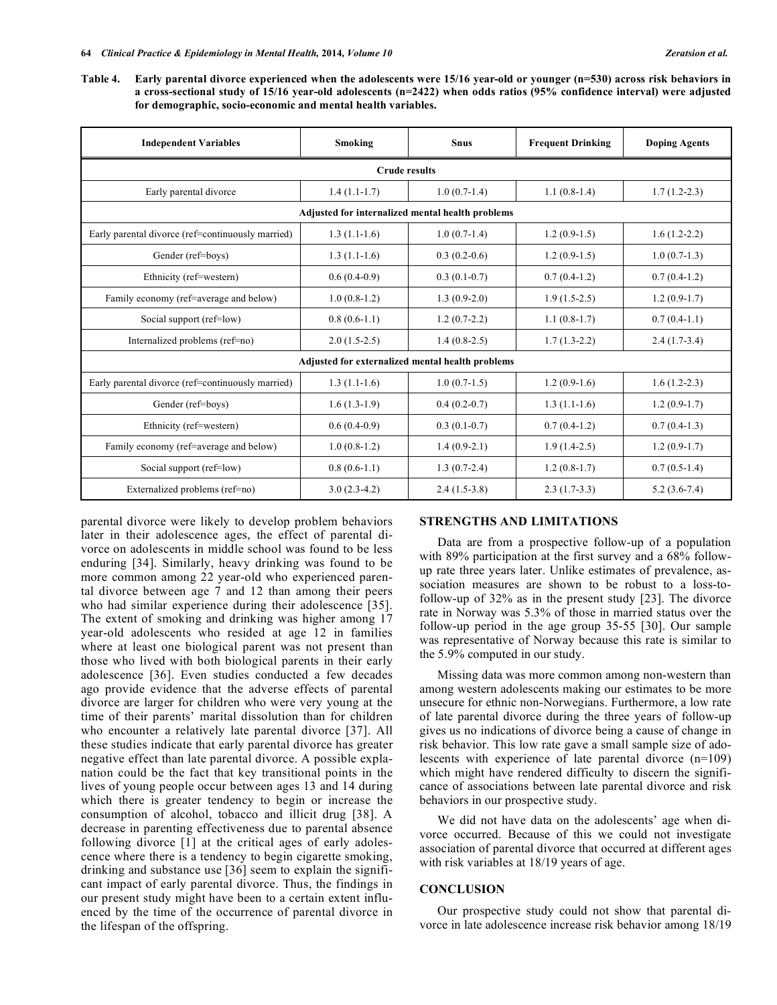**Table 4. Early parental divorce experienced when the adolescents were 15/16 year-old or younger (n=530) across risk behaviors in a cross-sectional study of 15/16 year-old adolescents (n=2422) when odds ratios (95% confidence interval) were adjusted for demographic, socio-economic and mental health variables.** 

| <b>Independent Variables</b>                      | Smoking        | <b>Snus</b>    | <b>Frequent Drinking</b> | <b>Doping Agents</b> |  |  |
|---------------------------------------------------|----------------|----------------|--------------------------|----------------------|--|--|
| <b>Crude results</b>                              |                |                |                          |                      |  |  |
| Early parental divorce                            | $1.4(1.1-1.7)$ | $1.0(0.7-1.4)$ | $1.1(0.8-1.4)$           | $1.7(1.2-2.3)$       |  |  |
| Adjusted for internalized mental health problems  |                |                |                          |                      |  |  |
| Early parental divorce (ref=continuously married) | $1.3(1.1-1.6)$ | $1.0(0.7-1.4)$ | $1.2(0.9-1.5)$           | $1.6(1.2-2.2)$       |  |  |
| Gender (ref=boys)                                 | $1.3(1.1-1.6)$ | $0.3(0.2-0.6)$ | $1.2(0.9-1.5)$           | $1.0(0.7-1.3)$       |  |  |
| Ethnicity (ref=western)                           | $0.6(0.4-0.9)$ | $0.3(0.1-0.7)$ | $0.7(0.4-1.2)$           | $0.7(0.4-1.2)$       |  |  |
| Family economy (ref=average and below)            | $1.0(0.8-1.2)$ | $1.3(0.9-2.0)$ | $1.9(1.5-2.5)$           | $1.2(0.9-1.7)$       |  |  |
| Social support (ref=low)                          | $0.8(0.6-1.1)$ | $1.2(0.7-2.2)$ | $1.1(0.8-1.7)$           | $0.7(0.4-1.1)$       |  |  |
| Internalized problems (ref=no)                    | $2.0(1.5-2.5)$ | $1.4(0.8-2.5)$ | $1.7(1.3-2.2)$           | $2.4(1.7-3.4)$       |  |  |
| Adjusted for externalized mental health problems  |                |                |                          |                      |  |  |
| Early parental divorce (ref=continuously married) | $1.3(1.1-1.6)$ | $1.0(0.7-1.5)$ | $1.2(0.9-1.6)$           | $1.6(1.2-2.3)$       |  |  |
| Gender (ref=boys)                                 | $1.6(1.3-1.9)$ | $0.4(0.2-0.7)$ | $1.3(1.1-1.6)$           | $1.2(0.9-1.7)$       |  |  |
| Ethnicity (ref=western)                           | $0.6(0.4-0.9)$ | $0.3(0.1-0.7)$ | $0.7(0.4-1.2)$           | $0.7(0.4-1.3)$       |  |  |
| Family economy (ref=average and below)            | $1.0(0.8-1.2)$ | $1.4(0.9-2.1)$ | $1.9(1.4-2.5)$           | $1.2(0.9-1.7)$       |  |  |
| Social support (ref=low)                          | $0.8(0.6-1.1)$ | $1.3(0.7-2.4)$ | $1.2(0.8-1.7)$           | $0.7(0.5-1.4)$       |  |  |
| Externalized problems (ref=no)                    | $3.0(2.3-4.2)$ | $2.4(1.5-3.8)$ | $2.3(1.7-3.3)$           | $5.2(3.6-7.4)$       |  |  |

parental divorce were likely to develop problem behaviors later in their adolescence ages, the effect of parental divorce on adolescents in middle school was found to be less enduring [34]. Similarly, heavy drinking was found to be more common among 22 year-old who experienced parental divorce between age 7 and 12 than among their peers who had similar experience during their adolescence [35]. The extent of smoking and drinking was higher among 17 year-old adolescents who resided at age 12 in families where at least one biological parent was not present than those who lived with both biological parents in their early adolescence [36]. Even studies conducted a few decades ago provide evidence that the adverse effects of parental divorce are larger for children who were very young at the time of their parents' marital dissolution than for children who encounter a relatively late parental divorce [37]. All these studies indicate that early parental divorce has greater negative effect than late parental divorce. A possible explanation could be the fact that key transitional points in the lives of young people occur between ages 13 and 14 during which there is greater tendency to begin or increase the consumption of alcohol, tobacco and illicit drug [38]. A decrease in parenting effectiveness due to parental absence following divorce [1] at the critical ages of early adolescence where there is a tendency to begin cigarette smoking, drinking and substance use [36] seem to explain the significant impact of early parental divorce. Thus, the findings in our present study might have been to a certain extent influenced by the time of the occurrence of parental divorce in the lifespan of the offspring.

# **STRENGTHS AND LIMITATIONS**

Data are from a prospective follow-up of a population with 89% participation at the first survey and a 68% followup rate three years later. Unlike estimates of prevalence, association measures are shown to be robust to a loss-tofollow-up of 32% as in the present study [23]. The divorce rate in Norway was 5.3% of those in married status over the follow-up period in the age group 35-55 [30]. Our sample was representative of Norway because this rate is similar to the 5.9% computed in our study.

Missing data was more common among non-western than among western adolescents making our estimates to be more unsecure for ethnic non-Norwegians. Furthermore, a low rate of late parental divorce during the three years of follow-up gives us no indications of divorce being a cause of change in risk behavior. This low rate gave a small sample size of adolescents with experience of late parental divorce (n=109) which might have rendered difficulty to discern the significance of associations between late parental divorce and risk behaviors in our prospective study.

We did not have data on the adolescents' age when divorce occurred. Because of this we could not investigate association of parental divorce that occurred at different ages with risk variables at  $18/19$  years of age.

#### **CONCLUSION**

Our prospective study could not show that parental divorce in late adolescence increase risk behavior among 18/19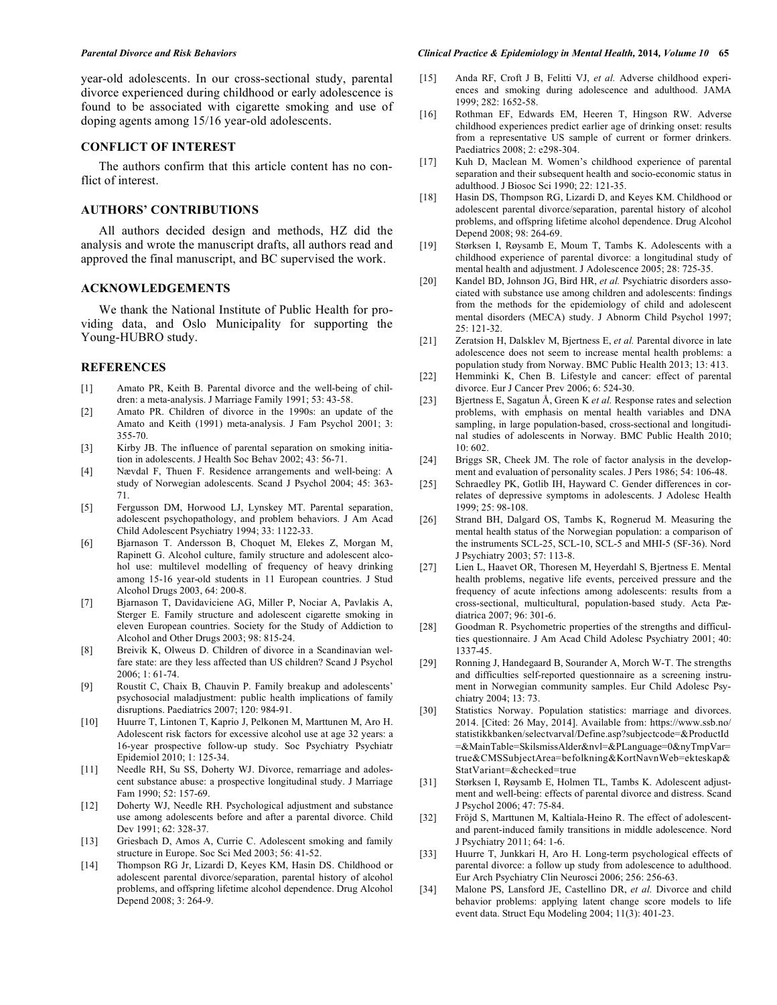year-old adolescents. In our cross-sectional study, parental divorce experienced during childhood or early adolescence is found to be associated with cigarette smoking and use of doping agents among 15/16 year-old adolescents.

#### **CONFLICT OF INTEREST**

The authors confirm that this article content has no conflict of interest.

# **AUTHORS' CONTRIBUTIONS**

All authors decided design and methods, HZ did the analysis and wrote the manuscript drafts, all authors read and approved the final manuscript, and BC supervised the work.

# **ACKNOWLEDGEMENTS**

We thank the National Institute of Public Health for providing data, and Oslo Municipality for supporting the Young-HUBRO study.

#### **REFERENCES**

- [1] Amato PR, Keith B. Parental divorce and the well-being of children: a meta-analysis. J Marriage Family 1991; 53: 43-58.
- [2] Amato PR. Children of divorce in the 1990s: an update of the Amato and Keith (1991) meta-analysis. J Fam Psychol 2001; 3: 355-70.
- [3] Kirby JB. The influence of parental separation on smoking initiation in adolescents. J Health Soc Behav 2002; 43: 56-71.
- [4] Nævdal F, Thuen F. Residence arrangements and well-being: A study of Norwegian adolescents. Scand J Psychol 2004; 45: 363- 71.
- [5] Fergusson DM, Horwood LJ, Lynskey MT. Parental separation, adolescent psychopathology, and problem behaviors. J Am Acad Child Adolescent Psychiatry 1994; 33: 1122-33.
- [6] Bjarnason T. Andersson B, Choquet M, Elekes Z, Morgan M, Rapinett G. Alcohol culture, family structure and adolescent alcohol use: multilevel modelling of frequency of heavy drinking among 15-16 year-old students in 11 European countries. J Stud Alcohol Drugs 2003, 64: 200-8.
- [7] Bjarnason T, Davidaviciene AG, Miller P, Nociar A, Pavlakis A, Sterger E. Family structure and adolescent cigarette smoking in eleven European countries. Society for the Study of Addiction to Alcohol and Other Drugs 2003; 98: 815-24.
- [8] Breivik K, Olweus D. Children of divorce in a Scandinavian welfare state: are they less affected than US children? Scand J Psychol  $2006:1:61-74$
- [9] Roustit C, Chaix B, Chauvin P. Family breakup and adolescents' psychosocial maladjustment: public health implications of family disruptions. Paediatrics 2007; 120: 984-91.
- [10] Huurre T, Lintonen T, Kaprio J, Pelkonen M, Marttunen M, Aro H. Adolescent risk factors for excessive alcohol use at age 32 years: a 16-year prospective follow-up study. Soc Psychiatry Psychiatr Epidemiol 2010; 1: 125-34.
- [11] Needle RH, Su SS, Doherty WJ. Divorce, remarriage and adolescent substance abuse: a prospective longitudinal study. J Marriage Fam 1990; 52: 157-69.
- [12] Doherty WJ, Needle RH. Psychological adjustment and substance use among adolescents before and after a parental divorce. Child Dev 1991; 62: 328-37.
- [13] Griesbach D, Amos A, Currie C. Adolescent smoking and family structure in Europe. Soc Sci Med 2003; 56: 41-52.
- [14] Thompson RG Jr, Lizardi D, Keyes KM, Hasin DS. Childhood or adolescent parental divorce/separation, parental history of alcohol problems, and offspring lifetime alcohol dependence. Drug Alcohol Depend 2008; 3: 264-9.

#### *Parental Divorce and Risk Behaviors Clinical Practice & Epidemiology in Mental Health,* **2014***, Volume 10* **65**

- [15] Anda RF, Croft J B, Felitti VJ, *et al.* Adverse childhood experiences and smoking during adolescence and adulthood. JAMA 1999; 282: 1652-58.
- [16] Rothman EF, Edwards EM, Heeren T, Hingson RW. Adverse childhood experiences predict earlier age of drinking onset: results from a representative US sample of current or former drinkers. Paediatrics 2008; 2: e298-304.
- [17] Kuh D, Maclean M. Women's childhood experience of parental separation and their subsequent health and socio-economic status in adulthood. J Biosoc Sci 1990; 22: 121-35.
- [18] Hasin DS, Thompson RG, Lizardi D, and Keyes KM. Childhood or adolescent parental divorce/separation, parental history of alcohol problems, and offspring lifetime alcohol dependence. Drug Alcohol Depend 2008; 98: 264-69.
- [19] Størksen I, Røysamb E, Moum T, Tambs K. Adolescents with a childhood experience of parental divorce: a longitudinal study of mental health and adjustment. J Adolescence 2005; 28: 725-35.
- [20] Kandel BD, Johnson JG, Bird HR, et al. Psychiatric disorders associated with substance use among children and adolescents: findings from the methods for the epidemiology of child and adolescent mental disorders (MECA) study. J Abnorm Child Psychol 1997; 25: 121-32.
- [21] Zeratsion H, Dalsklev M, Bjertness E, *et al.* Parental divorce in late adolescence does not seem to increase mental health problems: a population study from Norway. BMC Public Health 2013; 13: 413.
- [22] Hemminki K, Chen B. Lifestyle and cancer: effect of parental divorce. Eur J Cancer Prev 2006; 6: 524-30.
- [23] Bjertness E, Sagatun Å, Green K *et al.* Response rates and selection problems, with emphasis on mental health variables and DNA sampling, in large population-based, cross-sectional and longitudinal studies of adolescents in Norway. BMC Public Health 2010; 10: 602.
- [24] Briggs SR, Cheek JM. The role of factor analysis in the development and evaluation of personality scales. J Pers 1986; 54: 106-48.
- [25] Schraedley PK, Gotlib IH, Hayward C. Gender differences in correlates of depressive symptoms in adolescents. J Adolesc Health 1999; 25: 98-108.
- [26] Strand BH, Dalgard OS, Tambs K, Rognerud M. Measuring the mental health status of the Norwegian population: a comparison of the instruments SCL-25, SCL-10, SCL-5 and MHI-5 (SF-36). Nord J Psychiatry 2003; 57: 113-8.
- [27] Lien L, Haavet OR, Thoresen M, Heyerdahl S, Bjertness E. Mental health problems, negative life events, perceived pressure and the frequency of acute infections among adolescents: results from a cross-sectional, multicultural, population-based study. Acta Pædiatrica 2007; 96: 301-6.
- [28] Goodman R. Psychometric properties of the strengths and difficulties questionnaire. J Am Acad Child Adolesc Psychiatry 2001; 40: 1337-45.
- [29] Ronning J, Handegaard B, Sourander A, Morch W-T. The strengths and difficulties self-reported questionnaire as a screening instrument in Norwegian community samples. Eur Child Adolesc Psychiatry 2004; 13: 73.
- [30] Statistics Norway. Population statistics: marriage and divorces. 2014. [Cited: 26 May, 2014]. Available from: https://www.ssb.no/ statistikkbanken/selectvarval/Define.asp?subjectcode=&ProductId =&MainTable=SkilsmissAlder&nvl=&PLanguage=0&nyTmpVar= true&CMSSubjectArea=befolkning&KortNavnWeb=ekteskap& StatVariant=&checked=true
- [31] Størksen I, Røysamb E, Holmen TL, Tambs K. Adolescent adjustment and well-being: effects of parental divorce and distress. Scand J Psychol 2006; 47: 75-84.
- [32] Fröjd S, Marttunen M, Kaltiala-Heino R. The effect of adolescentand parent-induced family transitions in middle adolescence. Nord J Psychiatry 2011; 64: 1-6.
- [33] Huurre T, Junkkari H, Aro H. Long-term psychological effects of parental divorce: a follow up study from adolescence to adulthood. Eur Arch Psychiatry Clin Neurosci 2006; 256: 256-63.
- [34] Malone PS, Lansford JE, Castellino DR, *et al.* Divorce and child behavior problems: applying latent change score models to life event data. Struct Equ Modeling 2004; 11(3): 401-23.